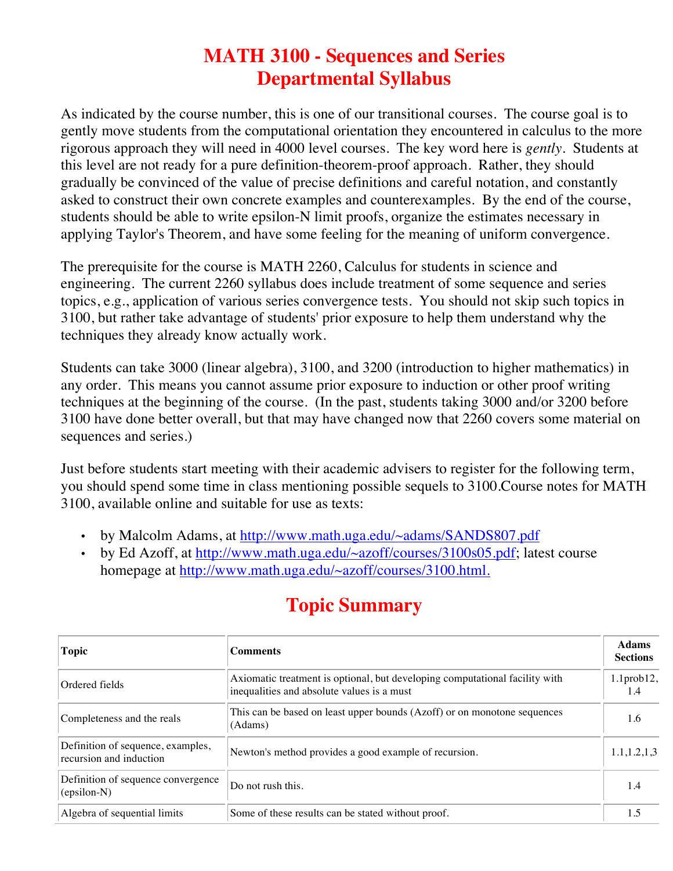## **MATH 3100 - Sequences and Series Departmental Syllabus**

As indicated by the course number, this is one of our transitional courses. The course goal is to gently move students from the computational orientation they encountered in calculus to the more rigorous approach they will need in 4000 level courses. The key word here is *gently*. Students at this level are not ready for a pure definition-theorem-proof approach. Rather, they should gradually be convinced of the value of precise definitions and careful notation, and constantly asked to construct their own concrete examples and counterexamples. By the end of the course, students should be able to write epsilon-N limit proofs, organize the estimates necessary in applying Taylor's Theorem, and have some feeling for the meaning of uniform convergence.

The prerequisite for the course is MATH 2260, Calculus for students in science and engineering. The current 2260 syllabus does include treatment of some sequence and series topics, e.g., application of various series convergence tests. You should not skip such topics in 3100, but rather take advantage of students' prior exposure to help them understand why the techniques they already know actually work.

Students can take 3000 (linear algebra), 3100, and 3200 (introduction to higher mathematics) in any order. This means you cannot assume prior exposure to induction or other proof writing techniques at the beginning of the course. (In the past, students taking 3000 and/or 3200 before 3100 have done better overall, but that may have changed now that 2260 covers some material on sequences and series.)

Just before students start meeting with their academic advisers to register for the following term, you should spend some time in class mentioning possible sequels to 3100.Course notes for MATH 3100, available online and suitable for use as texts:

- by Malcolm Adams, at http://www.math.uga.edu/~adams/SANDS807.pdf
- by Ed Azoff, at http://www.math.uga.edu/~azoff/courses/3100s05.pdf; latest course homepage at http://www.math.uga.edu/~azoff/courses/3100.html.

| <b>Topic</b>                                                 | <b>Comments</b>                                                                                                           | <b>Adams</b><br><b>Sections</b> |
|--------------------------------------------------------------|---------------------------------------------------------------------------------------------------------------------------|---------------------------------|
| Ordered fields                                               | Axiomatic treatment is optional, but developing computational facility with<br>inequalities and absolute values is a must | $1.1$ prob $12$ ,<br>1.4        |
| Completeness and the reals                                   | This can be based on least upper bounds (Azoff) or on monotone sequences<br>(Adams)                                       | 1.6                             |
| Definition of sequence, examples,<br>recursion and induction | Newton's method provides a good example of recursion.                                                                     | 1.1, 1.2, 1.3                   |
| Definition of sequence convergence<br>(epsilon-N)            | Do not rush this.                                                                                                         | 1.4                             |
| Algebra of sequential limits                                 | Some of these results can be stated without proof.                                                                        | 1.5                             |

## **Topic Summary**